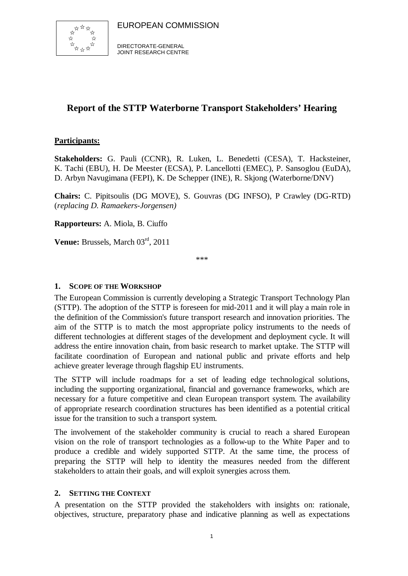

DIRECTORATE-GENERAL JOINT RESEARCH CENTRE

## **Report of the STTP Waterborne Transport Stakeholders' Hearing**

## **Participants:**

**Stakeholders:** G. Pauli (CCNR), R. Luken, L. Benedetti (CESA), T. Hacksteiner, K. Tachi (EBU), H. De Meester (ECSA), P. Lancellotti (EMEC), P. Sansoglou (EuDA), D. Arbyn Navugimana (FEPI), K. De Schepper (INE), R. Skjong (Waterborne/DNV)

**Chairs:** C. Pipitsoulis (DG MOVE), S. Gouvras (DG INFSO), P Crawley (DG-RTD) (*replacing D. Ramaekers-Jorgensen)*

**Rapporteurs:** A. Miola, B. Ciuffo

Venue: Brussels, March 03<sup>rd</sup>, 2011

\*\*\*

### **1. SCOPE OF THE WORKSHOP**

The European Commission is currently developing a Strategic Transport Technology Plan (STTP). The adoption of the STTP is foreseen for mid-2011 and it will play a main role in the definition of the Commission's future transport research and innovation priorities. The aim of the STTP is to match the most appropriate policy instruments to the needs of different technologies at different stages of the development and deployment cycle. It will address the entire innovation chain, from basic research to market uptake. The STTP will facilitate coordination of European and national public and private efforts and help achieve greater leverage through flagship EU instruments.

The STTP will include roadmaps for a set of leading edge technological solutions, including the supporting organizational, financial and governance frameworks, which are necessary for a future competitive and clean European transport system. The availability of appropriate research coordination structures has been identified as a potential critical issue for the transition to such a transport system.

The involvement of the stakeholder community is crucial to reach a shared European vision on the role of transport technologies as a follow-up to the White Paper and to produce a credible and widely supported STTP. At the same time, the process of preparing the STTP will help to identity the measures needed from the different stakeholders to attain their goals, and will exploit synergies across them.

### **2. SETTING THE CONTEXT**

A presentation on the STTP provided the stakeholders with insights on: rationale, objectives, structure, preparatory phase and indicative planning as well as expectations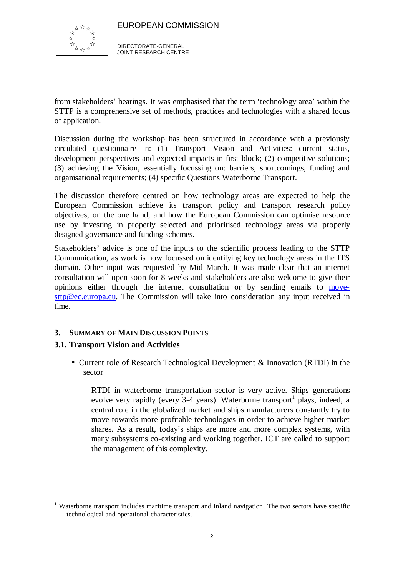

DIRECTORATE-GENERAL JOINT RESEARCH CENTRE

from stakeholders' hearings. It was emphasised that the term 'technology area' within the STTP is a comprehensive set of methods, practices and technologies with a shared focus of application.

Discussion during the workshop has been structured in accordance with a previously circulated questionnaire in: (1) Transport Vision and Activities: current status, development perspectives and expected impacts in first block; (2) competitive solutions; (3) achieving the Vision, essentially focussing on: barriers, shortcomings, funding and organisational requirements; (4) specific Questions Waterborne Transport.

The discussion therefore centred on how technology areas are expected to help the European Commission achieve its transport policy and transport research policy objectives, on the one hand, and how the European Commission can optimise resource use by investing in properly selected and prioritised technology areas via properly designed governance and funding schemes.

Stakeholders' advice is one of the inputs to the scientific process leading to the STTP Communication, as work is now focussed on identifying key technology areas in the ITS domain. Other input was requested by Mid March. It was made clear that an internet consultation will open soon for 8 weeks and stakeholders are also welcome to give their opinions either through the internet consultation or by sending emails to movesttp@ec.europa.eu. The Commission will take into consideration any input received in time.

### **3. SUMMARY OF MAIN DISCUSSION POINTS**

### **3.1. Transport Vision and Activities**

 $\overline{a}$ 

• Current role of Research Technological Development & Innovation (RTDI) in the sector

RTDI in waterborne transportation sector is very active. Ships generations evolve very rapidly (every 3-4 years). Waterborne transport<sup>1</sup> plays, indeed, a central role in the globalized market and ships manufacturers constantly try to move towards more profitable technologies in order to achieve higher market shares. As a result, today's ships are more and more complex systems, with many subsystems co-existing and working together. ICT are called to support the management of this complexity.

<sup>&</sup>lt;sup>1</sup> Waterborne transport includes maritime transport and inland navigation. The two sectors have specific technological and operational characteristics.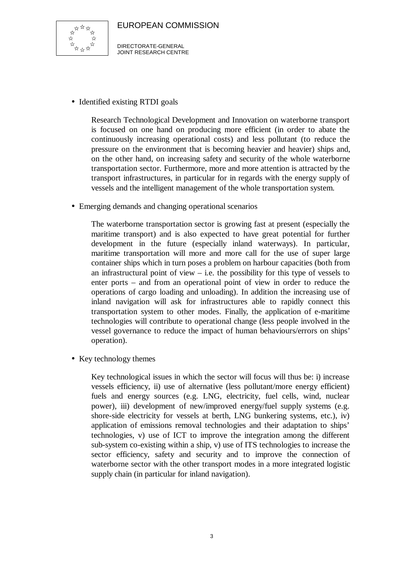

DIRECTORATE-GENERAL JOINT RESEARCH CENTRE

• Identified existing RTDI goals

Research Technological Development and Innovation on waterborne transport is focused on one hand on producing more efficient (in order to abate the continuously increasing operational costs) and less pollutant (to reduce the pressure on the environment that is becoming heavier and heavier) ships and, on the other hand, on increasing safety and security of the whole waterborne transportation sector. Furthermore, more and more attention is attracted by the transport infrastructures, in particular for in regards with the energy supply of vessels and the intelligent management of the whole transportation system.

• Emerging demands and changing operational scenarios

The waterborne transportation sector is growing fast at present (especially the maritime transport) and is also expected to have great potential for further development in the future (especially inland waterways). In particular, maritime transportation will more and more call for the use of super large container ships which in turn poses a problem on harbour capacities (both from an infrastructural point of view  $-$  i.e. the possibility for this type of vessels to enter ports – and from an operational point of view in order to reduce the operations of cargo loading and unloading). In addition the increasing use of inland navigation will ask for infrastructures able to rapidly connect this transportation system to other modes. Finally, the application of e-maritime technologies will contribute to operational change (less people involved in the vessel governance to reduce the impact of human behaviours/errors on ships' operation).

• Key technology themes

Key technological issues in which the sector will focus will thus be: i) increase vessels efficiency, ii) use of alternative (less pollutant/more energy efficient) fuels and energy sources (e.g. LNG, electricity, fuel cells, wind, nuclear power), iii) development of new/improved energy/fuel supply systems (e.g. shore-side electricity for vessels at berth, LNG bunkering systems, etc.), iv) application of emissions removal technologies and their adaptation to ships' technologies, v) use of ICT to improve the integration among the different sub-system co-existing within a ship, v) use of ITS technologies to increase the sector efficiency, safety and security and to improve the connection of waterborne sector with the other transport modes in a more integrated logistic supply chain (in particular for inland navigation).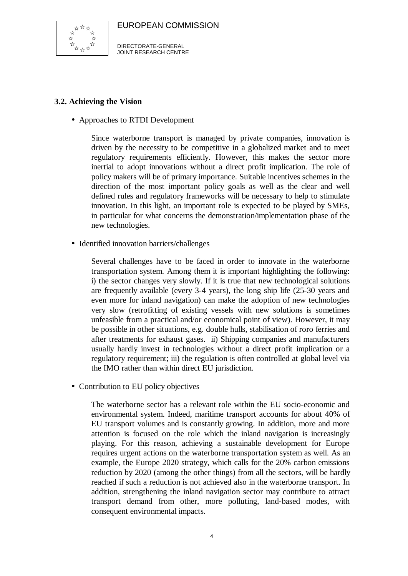

DIRECTORATE-GENERAL JOINT RESEARCH CENTRE

## **3.2. Achieving the Vision**

• Approaches to RTDI Development

Since waterborne transport is managed by private companies, innovation is driven by the necessity to be competitive in a globalized market and to meet regulatory requirements efficiently. However, this makes the sector more inertial to adopt innovations without a direct profit implication. The role of policy makers will be of primary importance. Suitable incentives schemes in the direction of the most important policy goals as well as the clear and well defined rules and regulatory frameworks will be necessary to help to stimulate innovation. In this light, an important role is expected to be played by SMEs, in particular for what concerns the demonstration/implementation phase of the new technologies.

• Identified innovation barriers/challenges

Several challenges have to be faced in order to innovate in the waterborne transportation system. Among them it is important highlighting the following: i) the sector changes very slowly. If it is true that new technological solutions are frequently available (every 3-4 years), the long ship life (25-30 years and even more for inland navigation) can make the adoption of new technologies very slow (retrofitting of existing vessels with new solutions is sometimes unfeasible from a practical and/or economical point of view). However, it may be possible in other situations, e.g. double hulls, stabilisation of roro ferries and after treatments for exhaust gases. ii) Shipping companies and manufacturers usually hardly invest in technologies without a direct profit implication or a regulatory requirement; iii) the regulation is often controlled at global level via the IMO rather than within direct EU jurisdiction.

• Contribution to EU policy objectives

The waterborne sector has a relevant role within the EU socio-economic and environmental system. Indeed, maritime transport accounts for about 40% of EU transport volumes and is constantly growing. In addition, more and more attention is focused on the role which the inland navigation is increasingly playing. For this reason, achieving a sustainable development for Europe requires urgent actions on the waterborne transportation system as well. As an example, the Europe 2020 strategy, which calls for the 20% carbon emissions reduction by 2020 (among the other things) from all the sectors, will be hardly reached if such a reduction is not achieved also in the waterborne transport. In addition, strengthening the inland navigation sector may contribute to attract transport demand from other, more polluting, land-based modes, with consequent environmental impacts.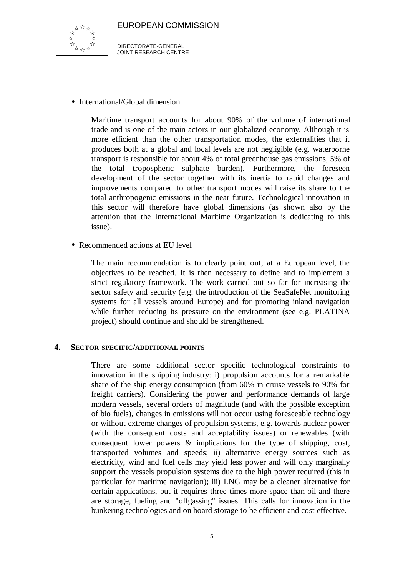

DIRECTORATE-GENERAL JOINT RESEARCH CENTRE

• International/Global dimension

Maritime transport accounts for about 90% of the volume of international trade and is one of the main actors in our globalized economy. Although it is more efficient than the other transportation modes, the externalities that it produces both at a global and local levels are not negligible (e.g. waterborne transport is responsible for about 4% of total greenhouse gas emissions, 5% of the total tropospheric sulphate burden). Furthermore, the foreseen development of the sector together with its inertia to rapid changes and improvements compared to other transport modes will raise its share to the total anthropogenic emissions in the near future. Technological innovation in this sector will therefore have global dimensions (as shown also by the attention that the International Maritime Organization is dedicating to this issue).

• Recommended actions at EU level

The main recommendation is to clearly point out, at a European level, the objectives to be reached. It is then necessary to define and to implement a strict regulatory framework. The work carried out so far for increasing the sector safety and security (e.g. the introduction of the SeaSafeNet monitoring systems for all vessels around Europe) and for promoting inland navigation while further reducing its pressure on the environment (see e.g. PLATINA project) should continue and should be strengthened.

#### **4. SECTOR-SPECIFIC/ADDITIONAL POINTS**

There are some additional sector specific technological constraints to innovation in the shipping industry: i) propulsion accounts for a remarkable share of the ship energy consumption (from 60% in cruise vessels to 90% for freight carriers). Considering the power and performance demands of large modern vessels, several orders of magnitude (and with the possible exception of bio fuels), changes in emissions will not occur using foreseeable technology or without extreme changes of propulsion systems, e.g. towards nuclear power (with the consequent costs and acceptability issues) or renewables (with consequent lower powers & implications for the type of shipping, cost, transported volumes and speeds; ii) alternative energy sources such as electricity, wind and fuel cells may yield less power and will only marginally support the vessels propulsion systems due to the high power required (this in particular for maritime navigation); iii) LNG may be a cleaner alternative for certain applications, but it requires three times more space than oil and there are storage, fueling and "offgassing" issues. This calls for innovation in the bunkering technologies and on board storage to be efficient and cost effective.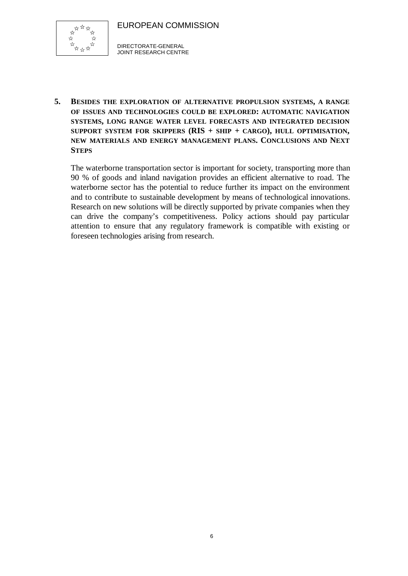

DIRECTORATE-GENERAL JOINT RESEARCH CENTRE

**5. BESIDES THE EXPLORATION OF ALTERNATIVE PROPULSION SYSTEMS, A RANGE OF ISSUES AND TECHNOLOGIES COULD BE EXPLORED: AUTOMATIC NAVIGATION SYSTEMS, LONG RANGE WATER LEVEL FORECASTS AND INTEGRATED DECISION SUPPORT SYSTEM FOR SKIPPERS (RIS + SHIP + CARGO), HULL OPTIMISATION, NEW MATERIALS AND ENERGY MANAGEMENT PLANS. CONCLUSIONS AND NEXT STEPS**

The waterborne transportation sector is important for society, transporting more than 90 % of goods and inland navigation provides an efficient alternative to road. The waterborne sector has the potential to reduce further its impact on the environment and to contribute to sustainable development by means of technological innovations. Research on new solutions will be directly supported by private companies when they can drive the company's competitiveness. Policy actions should pay particular attention to ensure that any regulatory framework is compatible with existing or foreseen technologies arising from research.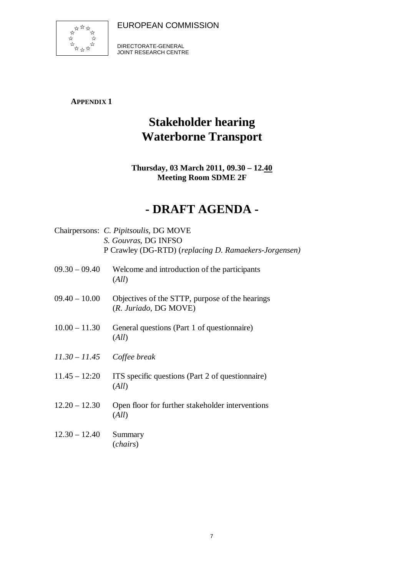

DIRECTORATE-GENERAL JOINT RESEARCH CENTRE

## **APPENDIX 1**

# **Stakeholder hearing Waterborne Transport**

## **Thursday, 03 March 2011, 09.30 – 12.40 Meeting Room SDME 2F**

# **- DRAFT AGENDA -**

|                 | Chairpersons: C. Pipitsoulis, DG MOVE<br>S. Gouvras, DG INFSO<br>P Crawley (DG-RTD) (replacing D. Ramaekers-Jorgensen) |
|-----------------|------------------------------------------------------------------------------------------------------------------------|
| $09.30 - 09.40$ | Welcome and introduction of the participants<br>(All)                                                                  |
| $09.40 - 10.00$ | Objectives of the STTP, purpose of the hearings<br>(R. Juriado, DG MOVE)                                               |
| $10.00 - 11.30$ | General questions (Part 1 of questionnaire)<br>(All)                                                                   |
|                 | $11.30 - 11.45$ Coffee break                                                                                           |
| $11.45 - 12:20$ | ITS specific questions (Part 2 of questionnaire)<br>(All)                                                              |
| $12.20 - 12.30$ | Open floor for further stakeholder interventions<br>(All)                                                              |
| $12.30 - 12.40$ | Summary<br>( <i>chairs</i> )                                                                                           |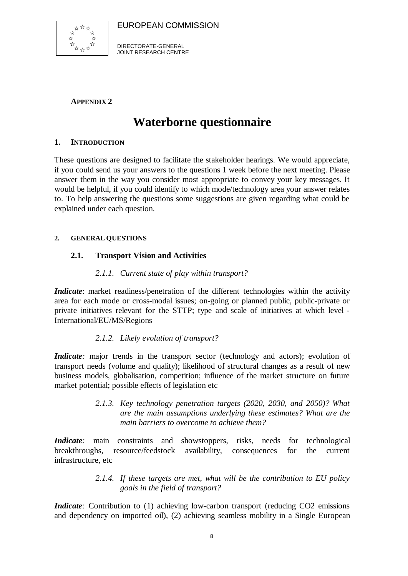

DIRECTORATE-GENERAL JOINT RESEARCH CENTRE

## **APPENDIX 2**

## **Waterborne questionnaire**

### **1. INTRODUCTION**

These questions are designed to facilitate the stakeholder hearings. We would appreciate, if you could send us your answers to the questions 1 week before the next meeting. Please answer them in the way you consider most appropriate to convey your key messages. It would be helpful, if you could identify to which mode/technology area your answer relates to. To help answering the questions some suggestions are given regarding what could be explained under each question.

### **2. GENERAL QUESTIONS**

### **2.1. Transport Vision and Activities**

### *2.1.1. Current state of play within transport?*

*Indicate*: market readiness/penetration of the different technologies within the activity area for each mode or cross-modal issues; on-going or planned public, public-private or private initiatives relevant for the STTP; type and scale of initiatives at which level - International/EU/MS/Regions

### *2.1.2. Likely evolution of transport?*

*Indicate*: major trends in the transport sector (technology and actors); evolution of transport needs (volume and quality); likelihood of structural changes as a result of new business models, globalisation, competition; influence of the market structure on future market potential; possible effects of legislation etc

> *2.1.3. Key technology penetration targets (2020, 2030, and 2050)? What are the main assumptions underlying these estimates? What are the main barriers to overcome to achieve them?*

*Indicate*: main constraints and showstoppers, risks, needs for technological breakthroughs, resource/feedstock availability, consequences for the current infrastructure, etc

> *2.1.4. If these targets are met, what will be the contribution to EU policy goals in the field of transport?*

*Indicate*: Contribution to (1) achieving low-carbon transport (reducing CO2 emissions and dependency on imported oil), (2) achieving seamless mobility in a Single European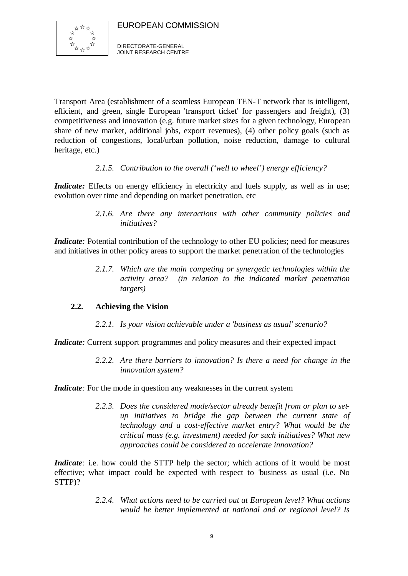

Transport Area (establishment of a seamless European TEN-T network that is intelligent, efficient, and green, single European 'transport ticket' for passengers and freight), (3) competitiveness and innovation (e.g. future market sizes for a given technology, European share of new market, additional jobs, export revenues), (4) other policy goals (such as reduction of congestions, local/urban pollution, noise reduction, damage to cultural heritage, etc.)

### *2.1.5. Contribution to the overall ('well to wheel') energy efficiency?*

*Indicate:* Effects on energy efficiency in electricity and fuels supply, as well as in use; evolution over time and depending on market penetration, etc

> *2.1.6. Are there any interactions with other community policies and initiatives?*

*Indicate*: Potential contribution of the technology to other EU policies; need for measures and initiatives in other policy areas to support the market penetration of the technologies

> *2.1.7. Which are the main competing or synergetic technologies within the activity area? (in relation to the indicated market penetration targets)*

### **2.2. Achieving the Vision**

*2.2.1. Is your vision achievable under a 'business as usual' scenario?*

*Indicate*: Current support programmes and policy measures and their expected impact

*2.2.2. Are there barriers to innovation? Is there a need for change in the innovation system?*

*Indicate*: For the mode in question any weaknesses in the current system

*2.2.3. Does the considered mode/sector already benefit from or plan to setup initiatives to bridge the gap between the current state of technology and a cost-effective market entry? What would be the critical mass (e.g. investment) needed for such initiatives? What new approaches could be considered to accelerate innovation?*

*Indicate*: i.e. how could the STTP help the sector; which actions of it would be most effective; what impact could be expected with respect to 'business as usual (i.e. No STTP)?

> *2.2.4. What actions need to be carried out at European level? What actions would be better implemented at national and or regional level? Is*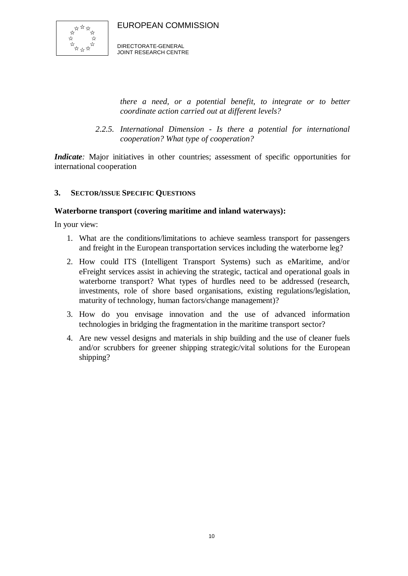

DIRECTORATE-GENERAL JOINT RESEARCH CENTRE

*there a need, or a potential benefit, to integrate or to better coordinate action carried out at different levels?*

*2.2.5. International Dimension - Is there a potential for international cooperation? What type of cooperation?* 

*Indicate*: Major initiatives in other countries; assessment of specific opportunities for international cooperation

### **3. SECTOR/ISSUE SPECIFIC QUESTIONS**

### **Waterborne transport (covering maritime and inland waterways):**

In your view:

- 1. What are the conditions/limitations to achieve seamless transport for passengers and freight in the European transportation services including the waterborne leg?
- 2. How could ITS (Intelligent Transport Systems) such as eMaritime, and/or eFreight services assist in achieving the strategic, tactical and operational goals in waterborne transport? What types of hurdles need to be addressed (research, investments, role of shore based organisations, existing regulations/legislation, maturity of technology, human factors/change management)?
- 3. How do you envisage innovation and the use of advanced information technologies in bridging the fragmentation in the maritime transport sector?
- 4. Are new vessel designs and materials in ship building and the use of cleaner fuels and/or scrubbers for greener shipping strategic/vital solutions for the European shipping?